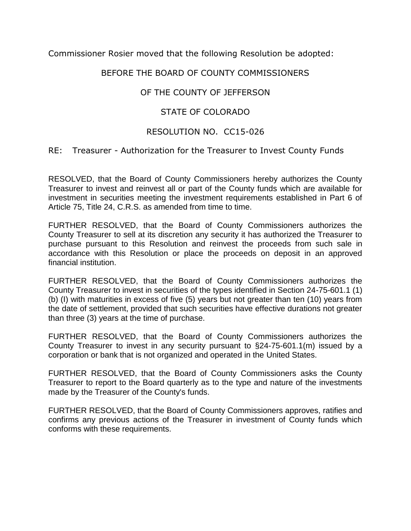Commissioner Rosier moved that the following Resolution be adopted:

### BEFORE THE BOARD OF COUNTY COMMISSIONERS

# OF THE COUNTY OF JEFFERSON

# STATE OF COLORADO

#### RESOLUTION NO. CC15-026

#### RE: Treasurer - Authorization for the Treasurer to Invest County Funds

RESOLVED, that the Board of County Commissioners hereby authorizes the County Treasurer to invest and reinvest all or part of the County funds which are available for investment in securities meeting the investment requirements established in Part 6 of Article 75, Title 24, C.R.S. as amended from time to time.

FURTHER RESOLVED, that the Board of County Commissioners authorizes the County Treasurer to sell at its discretion any security it has authorized the Treasurer to purchase pursuant to this Resolution and reinvest the proceeds from such sale in accordance with this Resolution or place the proceeds on deposit in an approved financial institution.

FURTHER RESOLVED, that the Board of County Commissioners authorizes the County Treasurer to invest in securities of the types identified in Section 24-75-601.1 (1) (b) (I) with maturities in excess of five (5) years but not greater than ten (10) years from the date of settlement, provided that such securities have effective durations not greater than three (3) years at the time of purchase.

FURTHER RESOLVED, that the Board of County Commissioners authorizes the County Treasurer to invest in any security pursuant to §24-75-601.1(m) issued by a corporation or bank that is not organized and operated in the United States.

FURTHER RESOLVED, that the Board of County Commissioners asks the County Treasurer to report to the Board quarterly as to the type and nature of the investments made by the Treasurer of the County's funds.

FURTHER RESOLVED, that the Board of County Commissioners approves, ratifies and confirms any previous actions of the Treasurer in investment of County funds which conforms with these requirements.